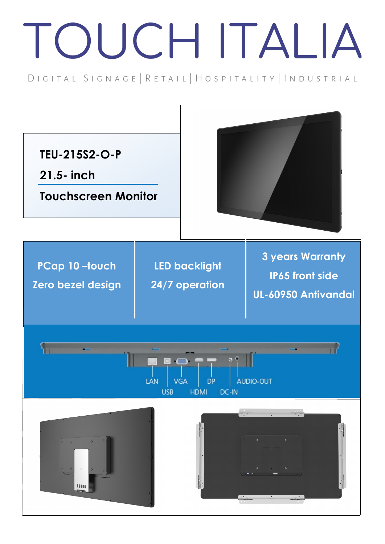## TOUCH ITALIA

DIGITAL SIGNAGE | RETAIL | HOSPITALITY | INDUSTRIAL